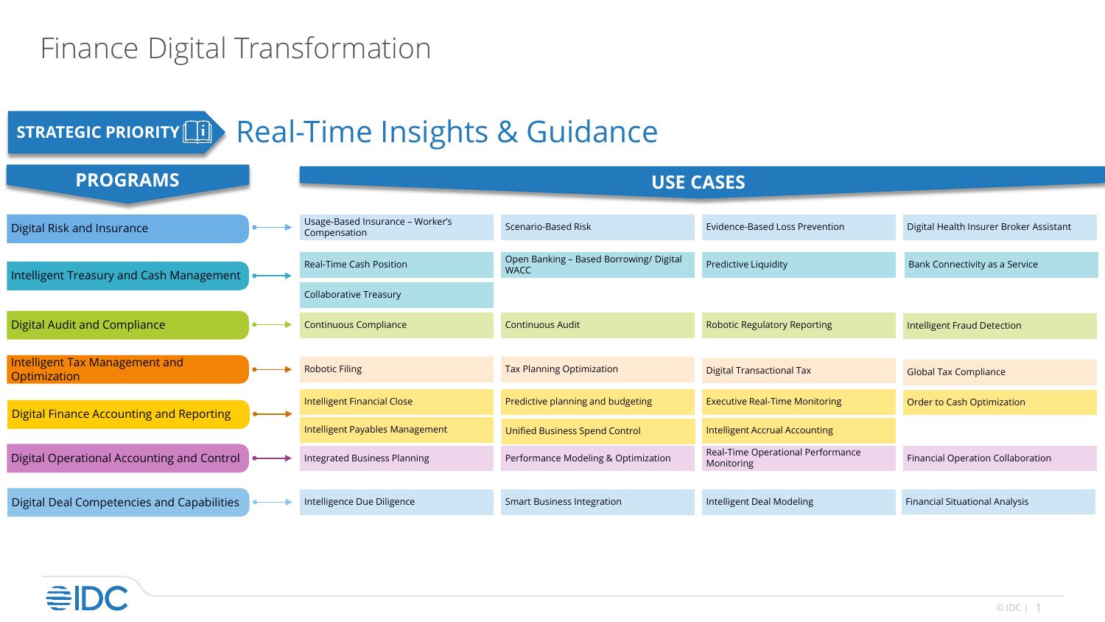## Finance Digital Transformation

## **STRATEGIC PRIORITY TO Real-Time Insights & Guidance**

| <b>PROGRAMS</b>                                 | <b>USE CASES</b>                                 |                                                        |                                                 |                                         |
|-------------------------------------------------|--------------------------------------------------|--------------------------------------------------------|-------------------------------------------------|-----------------------------------------|
|                                                 |                                                  |                                                        |                                                 |                                         |
| Digital Risk and Insurance                      | Usage-Based Insurance - Worker's<br>Compensation | Scenario-Based Risk                                    | Evidence-Based Loss Prevention                  | Digital Health Insurer Broker Assistant |
| Intelligent Treasury and Cash Management        | <b>Real-Time Cash Position</b>                   | Open Banking - Based Borrowing/ Digital<br><b>WACC</b> | Predictive Liquidity                            | Bank Connectivity as a Service          |
|                                                 | <b>Collaborative Treasury</b>                    |                                                        |                                                 |                                         |
| <b>Digital Audit and Compliance</b>             | <b>Continuous Compliance</b>                     | <b>Continuous Audit</b>                                | <b>Robotic Regulatory Reporting</b>             | <b>Intelligent Fraud Detection</b>      |
|                                                 |                                                  |                                                        |                                                 |                                         |
| Intelligent Tax Management and<br>Optimization  | <b>Robotic Filing</b>                            | <b>Tax Planning Optimization</b>                       | <b>Digital Transactional Tax</b>                | <b>Global Tax Compliance</b>            |
| <b>Digital Finance Accounting and Reporting</b> | <b>Intelligent Financial Close</b>               | Predictive planning and budgeting                      | <b>Executive Real-Time Monitoring</b>           | Order to Cash Optimization              |
|                                                 | Intelligent Payables Management                  | <b>Unified Business Spend Control</b>                  | <b>Intelligent Accrual Accounting</b>           |                                         |
| Digital Operational Accounting and Control      | Integrated Business Planning                     | Performance Modeling & Optimization                    | Real-Time Operational Performance<br>Monitoring | Financial Operation Collaboration       |
|                                                 |                                                  |                                                        |                                                 |                                         |
| Digital Deal Competencies and Capabilities      | Intelligence Due Diligence                       | <b>Smart Business Integration</b>                      | Intelligent Deal Modeling                       | <b>Financial Situational Analysis</b>   |